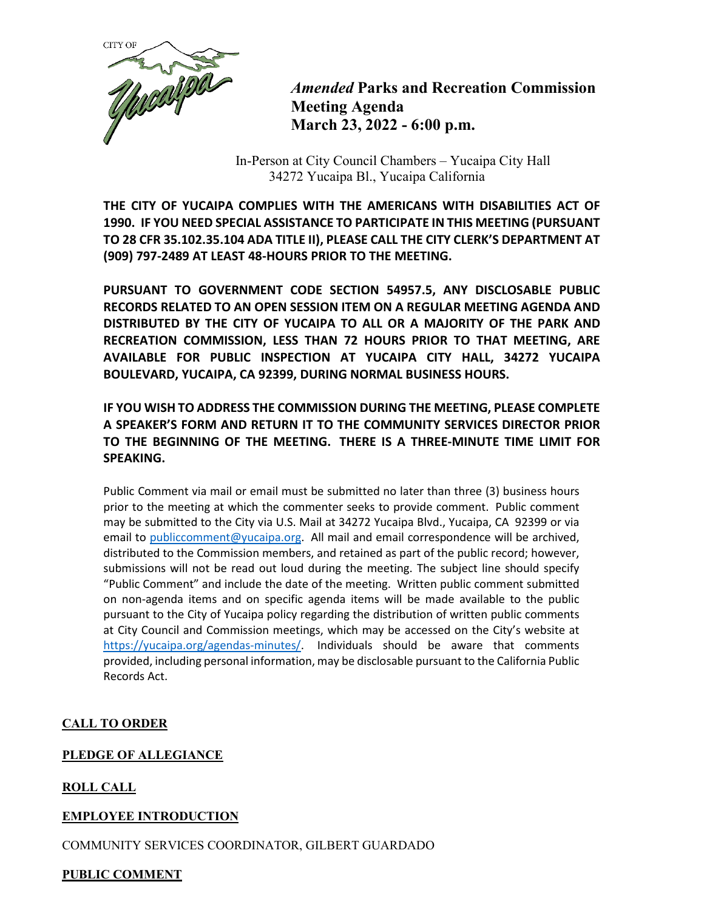

*Amended* **Parks and Recreation Commission Meeting Agenda March 23, 2022 - 6:00 p.m.**

In-Person at City Council Chambers – Yucaipa City Hall 34272 Yucaipa Bl., Yucaipa California

**THE CITY OF YUCAIPA COMPLIES WITH THE AMERICANS WITH DISABILITIES ACT OF 1990. IF YOU NEED SPECIAL ASSISTANCE TO PARTICIPATE IN THIS MEETING (PURSUANT TO 28 CFR 35.102.35.104 ADA TITLE II), PLEASE CALL THE CITY CLERK'S DEPARTMENT AT (909) 797-2489 AT LEAST 48-HOURS PRIOR TO THE MEETING.**

**PURSUANT TO GOVERNMENT CODE SECTION 54957.5, ANY DISCLOSABLE PUBLIC RECORDS RELATED TO AN OPEN SESSION ITEM ON A REGULAR MEETING AGENDA AND DISTRIBUTED BY THE CITY OF YUCAIPA TO ALL OR A MAJORITY OF THE PARK AND RECREATION COMMISSION, LESS THAN 72 HOURS PRIOR TO THAT MEETING, ARE AVAILABLE FOR PUBLIC INSPECTION AT YUCAIPA CITY HALL, 34272 YUCAIPA BOULEVARD, YUCAIPA, CA 92399, DURING NORMAL BUSINESS HOURS.**

# **IF YOU WISH TO ADDRESS THE COMMISSION DURING THE MEETING, PLEASE COMPLETE A SPEAKER'S FORM AND RETURN IT TO THE COMMUNITY SERVICES DIRECTOR PRIOR TO THE BEGINNING OF THE MEETING. THERE IS A THREE-MINUTE TIME LIMIT FOR SPEAKING.**

Public Comment via mail or email must be submitted no later than three (3) business hours prior to the meeting at which the commenter seeks to provide comment. Public comment may be submitted to the City via U.S. Mail at 34272 Yucaipa Blvd., Yucaipa, CA 92399 or via email to [publiccomment@yucaipa.org.](mailto:publiccomment@yucaipa.org) All mail and email correspondence will be archived, distributed to the Commission members, and retained as part of the public record; however, submissions will not be read out loud during the meeting. The subject line should specify "Public Comment" and include the date of the meeting. Written public comment submitted on non-agenda items and on specific agenda items will be made available to the public pursuant to the City of Yucaipa policy regarding the distribution of written public comments at City Council and Commission meetings, which may be accessed on the City's website at [https://yucaipa.org/agendas-minutes/.](https://linkprotect.cudasvc.com/url?a=https%3a%2f%2fyucaipa.org%2fagendas-minutes%2f&c=E,1,8iu_aLaCQsOmYjnWdhNeQgU9-XVoB5a0CzOs_nrmw5nAY-k_y7XZa3JAnXx2dduIQhERc5pzGH0uA9TG0OvmT6S6_YXFTmLh8Gy4-DGG9zUALHtuXEtWj2x5&typo=1) Individuals should be aware that comments provided, including personal information, may be disclosable pursuant to the California Public Records Act.

# **CALL TO ORDER**

## **PLEDGE OF ALLEGIANCE**

# **ROLL CALL**

## **EMPLOYEE INTRODUCTION**

COMMUNITY SERVICES COORDINATOR, GILBERT GUARDADO

## **PUBLIC COMMENT**